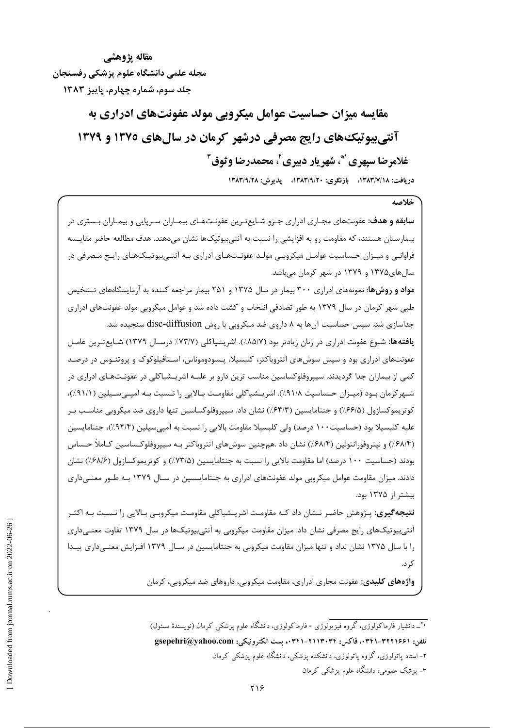مقاله پژوهشے مجله علمی دانشگاه علوم یزشکی رفسنجان جلد سوم، شماره چهارم، پاییز ۱۳۸۳

> مقایسه میزان حساسیت عوامل میکروپی مولد عفونتهای ادراری به آنتی پیوتیک های رایج مصرفی درشهر کرمان در سال های ۱۳۷۵ و ۱۳۷۹ غلامرضا سپهري ْ، شهريار دبيري ، محمدرضا وثوق "

> > دريافت: ١٣٨٣/٧/١٨، بازنگري: ١٣٨٣/٩/٢٠، پذيرش: ١٣٨٣/٩/٢٨

خلاصه

**سابقه و هدف**: عفونتهای مجـاری ادراری جـزو شـایعتـرین عفونـتهـای بیمـاران سـرپایی و بیمـاران بـستری در بیمارستان هستند، که مقاومت رو به افزایشی را نسبت به آنتیبیوتیکها نشان میدهند. هدف مطالعه حاضر مقایـسه فراوانـی و میـزان حـساسیت عوامـل میکروبـی مولـد عفونـتهـای ادراری بـه آنتـیبیوتیـکـهـای رایـج مـصرفی در سال های ۱۳۷۵ و ۱۳۷۹ در شهر کرمان می باشد.

**مواد و روشها**: نمونههای ادراری ۳۰۰ بیمار در سال ۱۳۷۵ و ۲۵۱ بیمار مراجعه کننده به آزمایشگاههای تـشخیص طبی شهر کرمان در سال ۱۳۷۹ به طور تصادفی انتخاب و کشت داده شد و عوامل میکروبی مولد عفونتهای ادراری جداسازی شد. سپس حساسیت آنها به ۸ داروی ضد میکروبی با روش disc-diffusion سنجیده شد.

ي**افتهها:** شيوع عفونت ادراري در زنان زيادتر بود (٨٥/٧٪). اشريشياكلي (٧٣/٧٪ درسـال ١٣٧٩) شــايع *تـ*رين عامــل عفونتهای ادراری بود و سپس سوشهای آنتروباکتر، کلبسیلا، پـسودوموناس، اسـتافیلوکوک و پروتئـوس در درصـد کمی از بیماران جدا گردیدند. سیپروفلوکساسین مناسب ترین دارو بر علیـه اشریـشیاکلی در عفونـتهـای ادراری در شـهر كرمان بـود (ميـزان حـساسيت ٩١/٨٪). اشريـشياكلي مقاومـت بـالايي را نـسبت بـه آمپـي،سـيلين (٩١/١٪)، کوتریموکسازول (۶۶/۵٪) و جنتامایسین (۶۳/۳٪) نشان داد. سیپروفلوکساسین تنها داروی ضد میکروبی مناسب بـر علیه کلبسیلا بود (حساسیت ۱۰۰ درصد) ولی کلبسیلا مقاومت بالایی را نسبت به آمپیسیلین (۹۴/۴٪)، جنتامایسین (۶۸/۴٪) و نیتروفورانتوئین (۶۸/۴٪) نشان داد .همچنین سوشهای آنتروباکتر بـه سیپروفلوکـساسین کـاملاً حـساس بودند (حساسیت ۱۰۰ درصد) اما مقاومت بالایی را نسبت به جنتامایسین (۷۳/۵٪) و کوتریموکسازول (۶۸/۶٪) نشان دادند. میزان مقاومت عوامل میکروبی مولد عفونتهای ادراری به جنتامایـسین در سـال ۱۳۷۹ بـه طـور معنــی۱داری بیشتر از ۱۳۷۵ بود.

**نتیجه گیری**: پـژوهش حاضـر نــشان داد کـه مقاومـت اشریــشیاکلی مقاومـت میکروبـی بـالایی را نــسبت بـه اکثـر آنتی بیوتیکهای رایج مصرفی نشان داد. میزان مقاومت میکروبی به آنتی بیوتیکها در سال ۱۳۷۹ تفاوت معنـی<اری را با سال ۱۳۷۵ نشان نداد و تنها میزان مقاومت میکروبی به جنتامایسین در سـال ۱۳۷۹ افـزایش معنـیداری پیـدا ک د.

**واژههای کلیدی:** عفونت مجاری ادراری، مقاومت میکروبی، داروهای ضد میکروبی، کرمان

۱۹\_ دانشیار فارماکولوژی، گروه فیزیولوژی - فارماکولوژی، دانشگاه علوم یزشکی کرمان (نویسندهٔ مسئول) تلفن: ٣٢٩١-٣٢١-٣۴١، فاكس: ٣٢١٣٠٣٢-٣٢١١٣٠٠، يست الكترونيكي: gsepehri@yahoo.com ۲- استاد پاتولوژی، گروه پاتولوژی، دانشکده پزشکی، دانشگاه علوم پزشکی کرمان ۳- پزشک عمومی، دانشگاه علوم پزشکی کرمان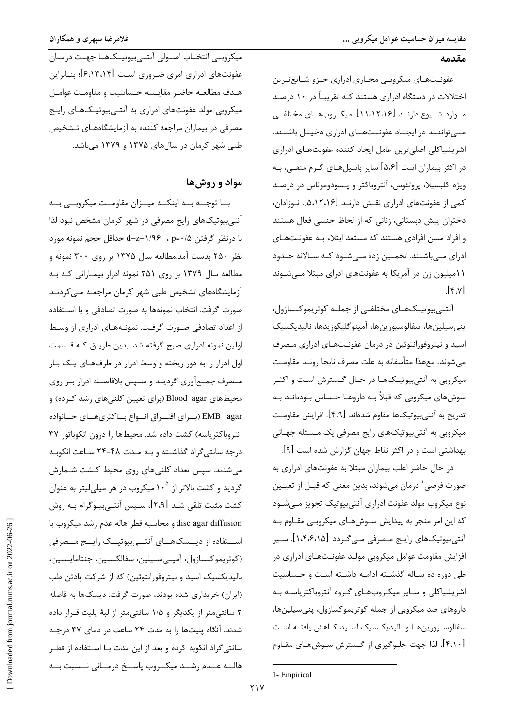#### مقدمه

عفونتهاي ميكروبي مجاري ادراري جنزو شايع ترين اختلالات در دستگاه ادراری هستند کـه تقریبـاً در ۱۰ درصـد مـوارد شــيوع دارنــد [۱۱،۱۲،۱۶]. ميكــروب@ـاي مختلفــي مـــ تواننـــد در ایجــاد عفونــتهــای ادراری دخیــل باشــند. اشریشیاکلی اصلی ترین عامل ایجاد کننده عفونتهـای ادراری در اکثر بیماران است [۵،۶] سایر باسیلهـای گـرم منفـی، بـه ویژه کلبسیلا، پروتئوس، آنتروباکتر و پـسودوموناس در درصـد کمی از عفونتهای ادراری نقـش دارنـد [۵،۱۲،۱۶]. نــوزادان، دختران پیش دبستانی، زنانی که از لحاظ جنسی فعال هستند و افراد مسن افرادی هستند که مستعد ابتلاء بـه عفونـتهـای ادرای مے باشـند. تخمـین زده مـی شـود کـه سـالانه حـدود ۱۱میلیون زن در آمریکا به عفونتهای ادرای مبتلا مے شـوند  $[\gamma_{\nu}$ 

آنتے ہیوتیــکھــای مختلفــی از جملــه کوتریموکــسازول، پنى سيلين ها، سفالوسپورين ها، آمينوگليكوزيدها، ناليديكسيک اسید و نیتروفورانتوئین در درمان عفونتهای ادراری مصرف میشوند. معهذا متأسفانه به علت مصرف نابجا رونـد مقاومـت میکروبی به آنتیبیوتیکهـا در حـال گـسترش اسـت و اکثـر سوشهای میکروبی که قبلاً بـه داروهـا حـساس بـودهانـد بـه تدريج به آنتي,بيوتيکها مقاوم شدهاند [۴،۹]. افزايش مقاومـت میکروبی به آنتیبیوتیکهای رایج مصرفی یک مـسئله جهـانی بهداشتی است و در اکثر نقاط جهان گزارش شده است [۹].

در حال حاضر اغلب بیماران مبتلا به عفونتهای ادراری به صورت فرضی <sup>۱</sup> درمان میشوند، بدین معنی که قبـل از تعیــین نوع میکروب مولد عفونت ادراری آنتیبیوتیک تجویز مـیشـود که این امر منجر به پیدایش سـوشهـای میکروبـی مقـاوم بـه آنتیبیوتیکهای رایج مصرفی مےگردد [۱،۴،۶،۱۵]. سیر افزایش مقاومت عوامل میکروبی مولـد عفونـتهـای ادراری در طی دوره ده سـاله گذشـته ادامـه داشـته اسـت و حـساسيت اشریشیاکلی و سـایر میکـروبهـای گـروه آنتروباکتریاسـه بـه داروهای ضد میکروبی از جمله کوتریموکسازول، پنیسیلینها، سفالوسـيورينهـا و ناليديكـسيك اسـيد كـاهش يافتـه اسـت [۴،۱۰]، لذا جهت جلـوگیری از گـسترش سـوشهـای مقـاوم

1- Empirical

۔<br>میکروبے انتخــاب اصــولی آنتــی،یوتیــکھــا جهــت درمــان عفونتهای ادراری امری ضروری است [۶،۱۳،۱۴]؛ بنـابراین هيدف مطالعيه حاضر مقايسه حساسيت و مقاومت عواميل میکروبی مولد عفونتهای ادراری به آنتـیبیوتیـکـهـای رایـج مصرفی در بیماران مراجعه کننده به آزمایشگاههـای تـشخیص طبی شهر کرمان در سالهای ۱۳۷۵ و ۱۳۷۹ میباشد.

## مواد و روشها

بــا توجــه بــه اينكــه ميــزان مقاومــت ميكروبــي بــه آنتی بیوتیکهای رایج مصرفی در شهر کرمان مشخص نبود لذا با درنظر گرفتن p=٠/۵ ، p=٠/٥ مداقل حجم نمونه مورد نظر ۲۵۰ بدست آمد.مطالعه سال ۱۳۷۵ بر روی ۳۰۰ نمونه و مطالعه سال ۱۳۷۹ بر روی ۲۵۱ نمونه ادرار بیمـارانی کـه بـه آزمایشگاههای تشخیص طبی شهر کرمان مراجعـه مـیکردنـد صورت گرفت. انتخاب نمونهها به صورت تصادفی و با اسـتفاده از اعداد تصادفی صـورت گرفـت. نمونـههـای ادراری از وسـط اولین نمونه ادراری صبح گرفته شد. بدین طریـق کـه قـسمت اول ادرار را به دور ریخته و وسط ادرار در ظرفهای یک بـار مـصرف جمـع آوري گرديـد و سـپس بلافاصـله ادرار بـر روي محیطهای Blood agar (برای تعیین کلنیهای رشد کـرده) و EMB agar (بـراي افتـراق انـواع بـاكترىهـاي خـانواده آنتروباکتریاسه) کشت داده شد. محیطها را درون انکوباتور ۳۷ درجه سانتی گراد گذاشته و بـه مـدت ۴۸-۲۴ سـاعت انکوبـه می شدند. سیس تعداد کلنے های روی محیط کـشت شـمارش گردید و کشت بالاتر از ۱۰<sup>۵</sup> میکروب در هر میلی *ل*یتر به عنوان کشت مثبت تلقی شـد [۲،۹]، سـیس آنتـی,بیـوگرام بـه روش disc agar diffusion و محاسبه قطر هاله عدم رشد میکروب با اســتفاده از ديــسكـهــاي آنتــيبيوتيــك رايــج مــصرفي (كوتريموكسازول، آمپےسيلين، سفالكسين، جنتامايـسين، نالیدیکسیک اسید و نیتروفورانتوئین) که از شرکت پادتن طب (ایران) خریداری شده بودند، صورت گرفت. دیسکها به فاصله ۲ سانتی متر از یکدیگر و ۱/۵ سانتی متر از لبهٔ پلیت قـرار داده شدند. آنگاه پلیتها را به مدت ۲۴ ساعت در دمای ۳۷ درجـه سانتی گراد انکوبه کرده و بعد از این مدت بـا اســتفاده از قطـر هالسه عسدم رشسد ميكسروب پاسسخ درمساني نسسبت بسه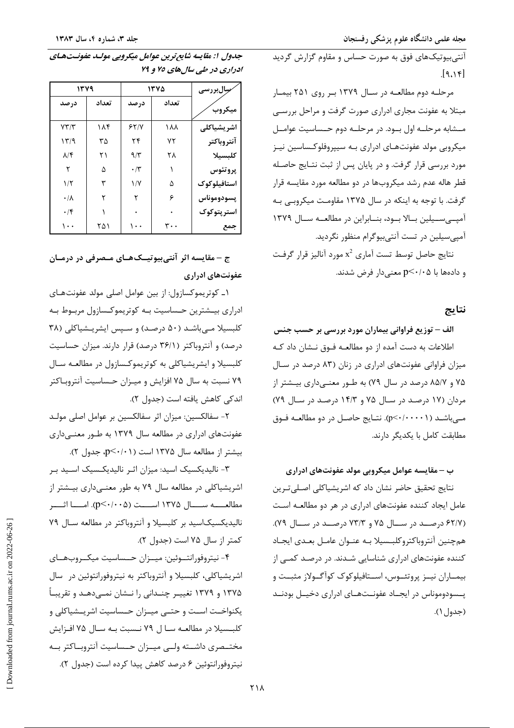آنتی بیوتیکهای فوق به صورت حساس و مقاوم گزارش گردید  $[9.18]$ 

مرحلـه دوم مطالعـه در سـال ۱۳۷۹ بـر روی ۲۵۱ بیمـار مبتلا به عفونت مجاری ادراری صورت گرفت و مراحل بررسبی مـشابه مرحلــه اول بــود. در مرحلــه دوم حــساسيت عوامــل میکروبی مولد عفونتهـای ادراری بـه سییروفلوکـساسین نیـز مورد بررسی قرار گرفت. و در پایان پس از ثبت نتـایج حاصـله قطر هاله عدم رشد میکروبها در دو مطالعه مورد مقایسه قرار گرفت. با توجه به اینکه در سال ۱۳۷۵ مقاومت میکروبی بـه آمپي سيلين بالا بود، بنابراين در مطالعه سال ١٣٧٩ آمپیسیلین در تست آنتیبیوگرام منظور نگردید.

نتايج حاصل توسط تست آماري 2⁄2 مورد آناليز قرار گرفت و دادهها با p<٠/٠۵ معنىدار فرض شدند.

### نتايج

الف – توزیع فراوانی بیماران مورد بررسی بر حسب جنس اطلاعات به دست آمده از دو مطالعـه فـوق نـشان داد كـه میزان فراوانی عفونتهای ادراری در زنان (۸۳ درصد در سـال ۷۵ و ۸۵/۷ درصد در سال ۷۹) به طـور معنــیداری بیــشتر از مردان (۱۷ درصد در سال ۷۵ و ۱۴/۳ درصد در سال ۷۹) مے باشــد (p<-/····). نتــايج حاصــل در دو مطالعــه فــوق مطابقت كامل با يكديگر دارند.

ب – مقایسه عوامل میکروبی مولد عفونتهای ادراری

نتايج تحقيق حاضر نشان داد كه اشريشياكلي اصـليتـرين عامل ایجاد کننده عفونتهای ادراری در هر دو مطالعـه اسـت (۶۲/۷ درصـد در سـال ۷۵ و ۷۳/۳ درصـد در سـال ۷۹). هم جنين آنتروباكتروكلبسيلا بـه عنـوان عامـل بعـدى ايجـاد کننده عفونتهای ادراری شناسایی شـدند. در درصـد کمـی از بیمــاران نیــز پروتئــوس، اســتافیلوکوک کوآگــولاز مثبــت و یــسودوموناس در ایجــاد عفونــتهــای ادراری دخیــل بودنــد (جدول ١).

| جدول ۱: مقایسه شایع ترین عوامل میکروبی مولـد عفونـتهـای |
|---------------------------------------------------------|
| ادراري در طي سال هاي ۷۵ و ۷۹                            |

| ۱۳۷۹                   |       | ۱۳۷۵                 |       | <b>سِالبررسی</b> |
|------------------------|-------|----------------------|-------|------------------|
| در صد                  | تعداد | درصد                 | تعداد | ميكروب           |
| YY/Y                   | ۱۸۴   | 55/1                 | ۱۸۸   | اشريشياكلى       |
| 15/9                   | ۳۵    | ۲۴                   | ۷۲    | آنتروباكتر       |
| $\lambda/\mathfrak{F}$ | ۲۱    | $9/\tau$             | ۲۸    | كلبسيلا          |
| ٢                      | ۵     | $\cdot$ /٣           |       | پروتئوس          |
| ۱۱۲                    | ٣     | $1/\Upsilon$         | ۵     | استافيلوكوك      |
| $\cdot/\lambda$        | ٢     | ۲                    | ۶     | پسودوموناس       |
| $\cdot$ /۴             |       |                      |       | استرپتوکوک       |
| ۱۰۰                    | ۲۵۱   | $\ddot{\phantom{0}}$ | ۳۰۰   | جمع              |

ج – مقایسه اثر آنتی بیوتیــکھــای مــصرفی در درمــان عفونتهای ادراری

۱ـ کوتريموکسازول: از بين عوامل اصلي مولد عفونتهاي ادراری بیـشترین حـساسیت بـه کوتریموکـسازول مربـوط بـه کلبسیلا مےباشد (۵۰ درصد) و سپس ایشریـشیاکلی (۳۸ درصد) و آنتروباکتر (۳۶/۱ درصد) قرار دارند. میزان حساسیت کلبسیلا و ایشریشیاکلی به کوتریموکسازول در مطالعـه سـال ۷۹ نسبت به سال ۷۵ افزایش و میـزان حـساسیت آنتروبـاکتر اندكى كاهش يافته است (جدول ٢).

٢- سفالكسين: ميزان اثر سفالكسين بر عوامل اصلي مولـد عفونتهای ادراری در مطالعه سال ۱۳۷۹ به طـور معنـیداری بیشتر از مطالعه سال ۱۳۷۵ است (p<۰/۰۱).

۳- نالیدیکسیک اسید: میزان اثـر نالیدیکـسیک اسـید بـر اشریشیاکلی در مطالعه سال ۷۹ به طور معنـیداری بیـشتر از مطالعــــه ســــال ۱۳۷۵ اســــت (۲۰۰۵-۰۶). امــــا اثـــــر نالیدیکسیکاسید بر کلبسیلا و آنتروباکتر در مطالعه سال ۷۹ كمتر از سال ۷۵ است (جدول ۲).

۴- نیتروفورانتـوئین: میـزان حــساسیت میکــروبهــای اشریشیاکلی، کلبسیلا و آنتروباکتر به نیتروفورانتوئین در سال ۱۳۷۵ و ۱۳۷۹ تغییـر چنـدانی را نــشان نمــی۵هــد و تقریبــاً یکنواخـت اسـت و حتــی میـزان حـساسیت اشریـشیاکلی و كلبـسيلا در مطالعـه ســا ل ٧٩ نـسبت بــه ســال ٧۵ افــزايش مختـصرى داشـته ولــى ميـزان حــساسيت آنتروبــاكتر بــه نيتروفورانتوئين ۶ درصد كاهش پيدا كرده است (جدول ۲).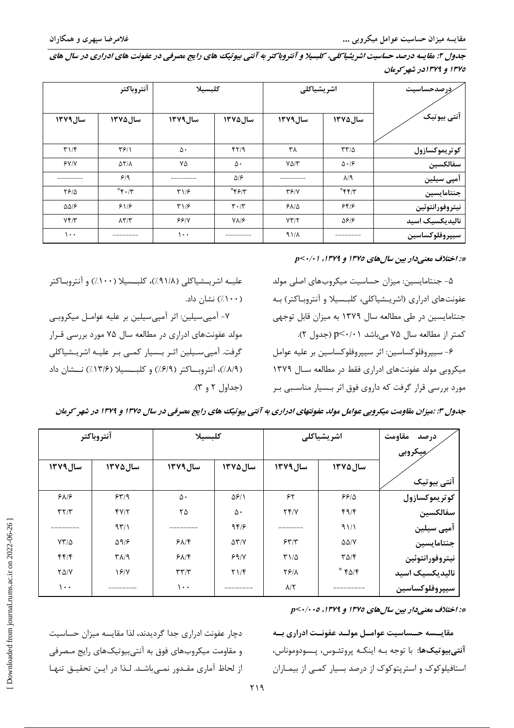جدول ۲: مقایسه درصد حساسیت اشریشیا کلی، کلبسیلا و آنتروبا کتر به آنتی بیوتیک های رایج مصرفی در عفونت های ادراری در سال های ۱۳۷۵ و ۱۳۷۹در شهر کرمان

|                            | آنتروباكتر                  | كلبسيلا      |                                             | اشريشياكلي         |                              | <i>ر</i> درصدحساسیت |
|----------------------------|-----------------------------|--------------|---------------------------------------------|--------------------|------------------------------|---------------------|
| سال ١٣٧٩                   | سال ۱۳۷۵                    | سال ١٣٧٩     | سال ۱۳۷۵                                    | سال ١٣٧٩           | سال ۱۳۷۵                     | آنتي بيوتيک         |
| T1/F                       | ۳۶۱۱                        | ۵۰           | fY/9                                        | ٣٨                 | $\tau\tau/\Delta$            | كوتريموكسازول       |
| YY/Y                       | $\Delta Y/\Lambda$          | ٧۵           | ۵٠                                          | $Y\Delta/\Upsilon$ | $\Delta \cdot 19$            | سفالكسين            |
|                            | 9/9                         |              | ۵۱۶                                         |                    | $\lambda$ /9                 | آمپی سیلین          |
| ٢۶/۵                       | $*\epsilon \cdot \pi$       | T1/5         | $*_{\mathfrak{F}\mathfrak{F}/\mathfrak{F}}$ | YY/Y               | $*\mathfrak{f}*\mathfrak{f}$ | جنتامايسين          |
| $\Delta\Delta/\mathcal{F}$ | 918                         | $\Gamma$ 1/۶ | $\mathbf{r} \cdot \mathbf{r}$               | $Y\Lambda/\Delta$  | 8819                         | نيتروفورانتوئين     |
| Yf/Y                       | $\lambda \Upsilon/\Upsilon$ | 99/1         | $Y\Lambda/F$                                | YT/T               | ۵۶۱۶                         | نالیدیکسیک اسید     |
| ۱۰۰                        | ---------                   | ۱۰۰          |                                             | $41/\lambda$       | ________                     | سيپروفلوكساسين      |

#### \*: اختلاف معنی دار بین سال های ١٣٧٥ و ١٣٧٩، ١٠/٠١

۵- جنتامایسین: میزان حساسیت میکروبهای اصلی مولد عفونتهای ادراری (اشریـشیاکلی، کلبـسیلا و آنتروبـاکتر) بـه جنتامایسین در طی مطالعه سال ۱۳۷۹ به میزان قابل توجهی کمتر از مطالعه سال ۷۵ میباشد p<۰/۰۱ (جدول ۲).

۶- سيپروفلوكساسين: اثر سيپروفلوكساسين بر عليه عوامل میکروبی مولد عفونتهای ادراری فقط در مطالعه سـال ۱۳۷۹ مورد بررسی قرار گرفت که داروی فوق اثر بـسیار مناسـبی بـر

علیــه اشریــشیاکلی (۹۱/۸٪)، کلبــسیلا (۱۰۰٪) و آنتروبــاکتر  $\langle \cdot \cdot \cdot \rangle$ نشان داد.

٧- آمپی سیلین: اثر آمپی سیلین بر علیه عوامـل میکروبـی مولد عفونتهای ادراری در مطالعه سال ۷۵ مورد بررسی قـرار گرفت. آمپیسیلین اثـر بـسیار کمـی بـر علیـه اشریـشیاکلی (٨/٩/)، آنتروباكتر (٦/٩/)) و كلبــسيلا (١٣/٤/)) نــشان داد 

|             | أنتروباكتر             |                 | كلبسيلا      |                    | اشريشياكلي             | درصد مقاومت<br>مِیکروبی |
|-------------|------------------------|-----------------|--------------|--------------------|------------------------|-------------------------|
| سال ١٣٧٩    | سال ۱۳۷۵               | سال ١٣٧٩        | سال ۱۳۷۵     | سال ١٣٧٩           | سال ۱۳۷۵               | آنتی بیوتیک             |
| 9A/9        | 559                    | ۵٠              | 5811         | ۶۲                 | 55/0                   | كوتريموكسازول           |
| T5/T        | YY/T                   | ۲۵              | ۵۰           | Yf/Y               | f9/F                   | سفالكسين                |
|             | 97/1                   |                 | 949          |                    | 91/1                   | آمپی سیلین              |
| $YY/\Delta$ | $\Delta$ 9/ $\epsilon$ | $9\lambda$      | $\Delta Y/Y$ | 557/               | $\Delta\Delta/V$       | جنتامايسين              |
| f(f)        | $T\Lambda$ /9          | 517             | 99/          | $T1/\Delta$        | $T\Delta/\mathfrak{f}$ | نيتروفورانتوئين         |
| $Y\Delta/Y$ | 19/1                   | $\tau\tau/\tau$ | Y1/F         | <b>TEIA</b>        | $*$ $*$ $\delta$       | نالیدیکسیک اسید         |
| $\cdots$    |                        | ۱۰۰             |              | $\lambda/\Upsilon$ |                        | سيپروفلوكساسين          |

جدول ۳: :میزان مقاومت میکروپی عوامل مولد عفونتهای ادراری به آنتی بیوتیک های رایج مصرفی در سال ۱۳۷۵ و ۱۳۷۹ در شهر کرمان

\*: اختلاف معنى دار بين سال هاى ١٣٧٥ و ١٣٧٩، ٢٠/٠٠٥.

مقايسسه حسساسيت عوامـل مولـد عفونـت ادرارى بـه آ**نتي بيوتيکها**: با توجه بـه اينکـه پروتئـوس، پـسودوموناس، استافیلوکوک و استریتوکوک از درصد بسیار کمبی از بیمباران

دچار عفونت ادراری جدا گردیدند، لذا مقایسه میزان حساسیت و مقاومت میکروبهای فوق به آنتی بیوتیکهای رایج مـصرفی از لحاظ آماری مقـدور نمـی باشـد. لـذا در ایـن تحقیـق تنهـا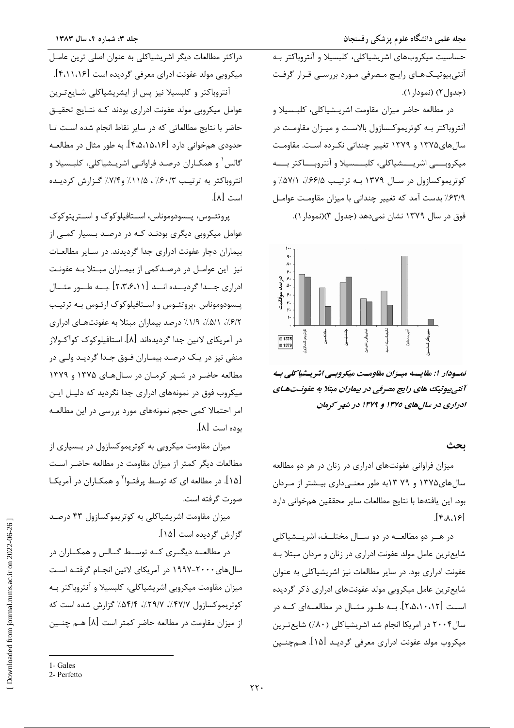حساسیت میکروبهای اشریشیاکلی، کلبسیلا و آنتروباکتر بـه آنتیبیوتیکهای رایج مصرفی مورد بررسی قرار گرفت (جدول ۲) (نمودا, ۱).

در مطالعه حاضر میزان مقاومت اشریـشیاکلی، کلبـسیلا و .<br>آنتروباکتر بــه کوتریموکــسازول بالاسـت و میـزان مقاومـت در سالهای۱۳۷۵ و ۱۳۷۹ تغییر چندانی نکرده است. مقاومت میکروبسی اشریسسشیاکلی، کلبسسیلا و آنتروبساکتر بسـه کوتریموکسازول در سال ۱۳۷۹ بـه ترتیب ۶۶/۵٪، ۵۷/۱٪ و ٤٣/٩٪ بدست آمد كه تغيير چنداني با ميزان مقاومت عوامـل فوق در سال ۱۳۷۹ نشان نمی دهد (جدول ۳)(نمودار ۱).



نمسودار ا: مقايسه ميسزان مقاومت ميكروبسي اشريسشياكلي بيه آنتیبیوتیک های رایج مصرفی در بیماران مبتلا به عفونـتهـای ادراری در سال های ۱۳۷۵ و ۱۳۷۹ در شهر کرمان

#### بحث

میزان فراوانی عفونتهای ادراری در زنان در هر دو مطالعه سال های ۱۳۷۵ و ۷۹ ۱۳ به طور معنے داری بیشتر از مردان بود. این یافتهها با نتایج مطالعات سایر محققین همخوانی دارد  $[80,18]$ 

در هـر دو مطالعــه در دو ســال مختلــف، اشريــشياكلي شایع ترین عامل مولد عفونت ادراری در زنان و مردان مبتلا بـه عفونت ادراری بود. در سایر مطالعات نیز اشریشیاکلی به عنوان شایع ترین عامل میکروبی مولد عفونتهای ادراری ذکر گردیده اســت [۲،۵،۱۰،۱۲]. بــه طــور مثــال در مطالعــهای کــه در سال۲۰۰۴ در امریکا انجام شد اشریشیاکلی (۸۰٪) شایعترین میکروب مولد عفونت ادراری معرفی گردیـد [۱۵]. هــمچنــین

دراکثر مطالعات دیگر اشریشیاکلی به عنوان اصلی ترین عامـل میکروبی مولد عفونت ادرای معرفی گردیده است [۴،۱۱،۱۶]. .<br>آنتروباکتر و کلبسیلا نیز پس از ایشریشیاکلی شـایعتـرین عوامل میکروبی مولد عفونت ادراری بودند کـه نتـایج تحقیـق حاضر با نتایج مطالعاتی که در سایر نقاط انجام شده است تا حدودی همخوانی دارد [۴٬۵٬۱۵٬۱۶]. به طور مثال در مطالعـه گالس<sup>۱</sup> و همکـاران درصـد فراوانـی اشریـشیاکلی، کلبـسیلا و انتروباکتر به ترتیب ۰/۶۰/۳ ، ۱۱/۵٪ و۷/۴٪ گزارش کردیده است [۸].

پروتئــوس، پــسودوموناس، اســتافيلوكوک و اســترپتوكوک عوامل میکروبی دیگری بودنـد کـه در درصـد بـسیار کمـی از بیماران دچار عفونت ادراری جدا گردیدند. در سـایر مطالعـات نیز این عوامـل در درصـدکمی از بیمـاران مبـتلا بـه عفونـت ادراری جــدا گردیــده انــد [۲،۳،۶،۱۱] .بــه طــور مثــال پــــــودوموناس ،پروتئــوس و اســتافيلوكوک ارئــوس بــه ترتيــب ۶/۲٪، ۵/۱٪، ۱/۹٪ درصد بیماران مبتلا به عفونتهای ادراری در آمریکای لاتین جدا گردیدهاند [۸]. استافیلوکوک کوآکـولاز منفی نیز در یـک درصـد بیمـاران فـوق جـدا گردیـد ولـی در مطالعه حاضر در شـهر کرمـان در سـالهـای ۱۳۷۵ و ۱۳۷۹ میکروب فوق در نمونههای ادراری جدا نگردید که دلیـل ایـن امر احتمالا کمی حجم نمونههای مورد بررسی در این مطالعـه بوده است [۸].

میزان مقاومت میکروبی به کوتریموکسازول در بـسیاری از مطالعات دیگر کمتر از میزان مقاومت در مطالعه حاضـر اسـت [۱۵]. در مطالعه ای که توسط پرفتـوا<sup>۲</sup> و همکـاران در آمریکـا صورت گرفته است.

میزان مقاومت اشریشیاکلی به کوتریموکسازول ۴۳ درصد گزارش گردیده است [۱۵].

در مطالعــه دیگــری کــه توســط گــالس و همکــاران در سالهای ۲۰۰۰-۱۹۹۷ در آمریکای لاتین انجـام گرفتـه اسـت میزان مقاومت میکروبی اشریشیاکلی، کلبسیلا و آنتروباکتر بـه کوتریموکسازول ۴۷/۷٪، ۲۹/۷٪، ۵۴/۴٪ گزارش شده است که از میزان مقاومت در مطالعه حاضر کمتر است [۸] هـم چنــین

<sup>1-</sup> Gales 2- Perfetto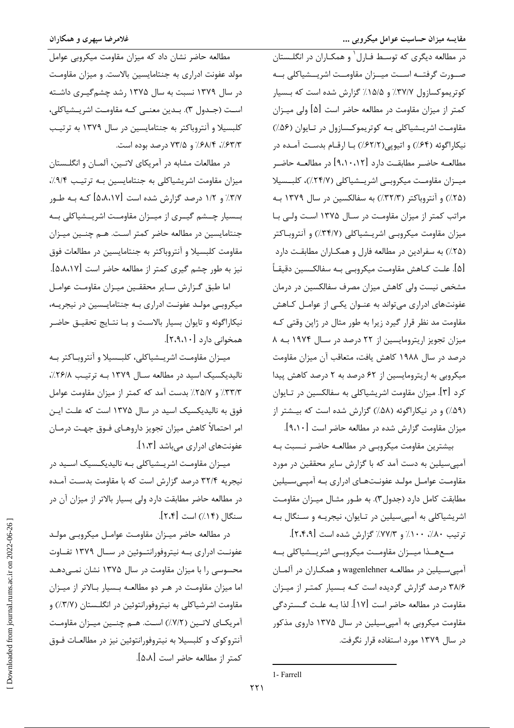غلامرضا سپهری و همکاران

مطالعه حاضر نشان داد که میزان مقاومت میکروبی عوامل مولد عفونت ادراری به جنتامایسین بالاست. و میزان مقاومت در سال ۱۳۷۹ نسبت به سال ۱۳۷۵ رشد چشم گیری داشته است (جـدول ٣). بـدين معنــي كـه مقاومـت اشريـشياكلي، کلبسیلا و آنتروباکتر به جنتامایسین در سال ۱۳۷۹ به ترتیب ۶۳/۳٪، ۶۸/۴٪ و ۷۳/۵ درصد بوده است.

در مطالعات مشابه در آمریکای لاتـین، آلمـان و انگلـستان میزان مقاومت اشریشیاکلی به جنتامایسین بـه ترتیب ۰/.۹/۴ ۳/۷٪ و ۱/۲ درصد گزارش شده است [۵،۸،۱۷] کـه بـه طـور بــسیار چــشم گیــری از میــزان مقاومــت اشریــشیاکلی بــه جنتامایسین در مطالعه حاضر کمتر است. هـم چنـین میـزان مقاومت كلبسيلا و آنتروباكتر به جنتامايسين در مطالعات فوق نيز به طور چشم گيري كمتر از مطالعه حاضر است [۵،۸،۱۷]. اما طبق گزارش سایر محققـین میـزان مقاومـت عوامـل

میکروبی مولـد عفونـت ادراری بـه جنتامایـسین در نیجریـه، نیکاراگوئه و تایوان بسیار بالاست و بـا نتـایج تحقیـق حاضـر همخوانی دارد [۲،۹،۱۰].

میـزان مقاومـت اشریـشیاکلی، کلبـسیلا و آنتروبـاکتر بـه نالیدیکسیک اسید در مطالعه سال ۱۳۷۹ به ترتیب ۲۶/۸٪، ٣٣/٣٪ و ٢٥/٧٪ بدست آمد که کمتر از میزان مقاومت عوامل فوق به نالیدیکسیک اسید در سال ۱۳۷۵ است که علت ایـن امر احتمالاً كاهش ميزان تجويز داروهـاي فــوق جهـت درمــان عفونتهای ادراری می باشد [۱،۳].

میـزان مقاومـت اشریـشیاکلی بـه نالیدیکـسیک اسـید در نیجریه ۳۲/۴ درصد گزارش است که با مقاومت بدست آمـده در مطالعه حاضر مطابقت دارد ولي بسيار بالاتر از ميزان آن در سنگال (١٤//) است [٢،٢].

در مطالعه حاضر میـزان مقاومـت عوامـل میکروبـی مولـد عفونـت ادراري بـه نيتروفورانتــوئين در ســال ١٣٧٩ تفــاوت محسوسی را با میزان مقاومت در سال ۱۳۷۵ نشان نمـیدهـد اما میزان مقاومت در هـر دو مطالعـه بـسیار بـالاتر از میـزان مقاومت اشرشیاکلی به نیتروفورانتوئین در انگلـستان (٣/٧٪) و آمریکــای لاتــین (٧/٢٪) اســت. هــم چنــین میــزان مقاومــت آنتروکوک و کلبسیلا به نیتروفورانتوئین نیز در مطالعـات فـوق كمتر از مطالعه حاضر است [۵،۸].

در مطالعه دیگری که توسط فـارل<sup>۱</sup> و همکـاران در انگلـستان صـورت گرفتــه اســت ميــزان مقاومــت اشريــشياكلي بــه کوتریموکسازول ۳۷/۷٪ و ۱۵/۵٪ گزارش شده است که بـسیار کمتر از میزان مقاومت در مطالعه حاضر است [۵] ولی میـزان مقاومت اشریسشیاکلی بـه کوتریموکـسازول در تـایوان (۵۶٪) نیکاراگوئه (۶۴٪) و اتیوپی(۶۲/۲٪) بـا ارقـام بدسـت آمـده در مطالعــه حاضــر مطابقــت دارد [۹،۱۰،۱۲] در مطالعــه حاضــر میـزان مقاومـت میکروبـی اشریـشیاکلی (۲۴/۷٪)، کلبـسیلا (۲۵٪) و آنتروباکتر (۳۲/۳٪) به سفالکسین در سال ۱۳۷۹ بـه مراتب کمتر از میزان مقاومت در سال ۱۳۷۵ است ولی با میزان مقاومت میکروبی اشریـشیاکلی (۳۴/۷٪) و آنتروبـاکتر (۲۵٪) به سفرادین در مطالعه فارل و همکـاران مطابقـت دارد [۵]. علـت كــاهش مقاومـت ميكروبــي بــه سفالكــسين دقيقــأ مشخص نیست ولی کاهش میزان مصرف سفالکسین در درمان عفونتهای ادراری میتواند به عنوان یکیی از عوامل کاهش مقاومت مد نظر قرار گیرد زیرا به طور مثال در ژاپن وقتی کـه میزان تجویز اریترومایسین از ٢٢ درصد در سال ١٩٧۴ به ٨ درصد در سال ۱۹۸۸ کاهش یافت، متعاقب آن میزان مقاومت میکروبی به اریترومایسین از ۶۲ درصد به ۲ درصد کاهش پیدا کرد [۳]. میزان مقاومت اشریشیاکلی به سفالکسین در تـایوان (۵۹٪) و در نیکاراگوئه (۵۸٪) گزارش شده است که بیشتر از میزان مقاومت گزارش شده در مطالعه حاضر است [۹،۱۰].

بیشترین مقاومت میکروبے در مطالعـه حاضـر نـسبت بـه آمپی سیلین به دست آمد که با گزارش سایر محققین در مورد مقاومت عوامـل مولـد عفونـتهـاي ادراري بـه آميـي،سـيلين مطابقت کامل دارد (جدول۳). به طـور مثـال میـزان مقاومـت اشریشیاکلی به آمپیسیلین در تـایوان، نیجریـه و سـنگال بـه ترتيب ٨٠٪، ١٠٠٪ و ٧٧/٣٪ گزارش شده است [٢،۴،٩].

مـعهــذا ميــزان مقاومــت ميكروبــي اشريــشياكلي بــه آمیی سیلین در مطالعـه wagenlehner و همکـاران در آلمـان ۳۸/۶ درصد گزارش گردیده است کـه بـسیار کمتـر از میـزان مقاومت در مطالعه حاضر است [۱۷]. لذا بـه علـت گـستردگی مقاومت میکروبی به آمپیسیلین در سال ۱۳۷۵ داروی مذکور در سال ۱۳۷۹ مورد استفاده قرار نگرفت.

<sup>1-</sup> Farrell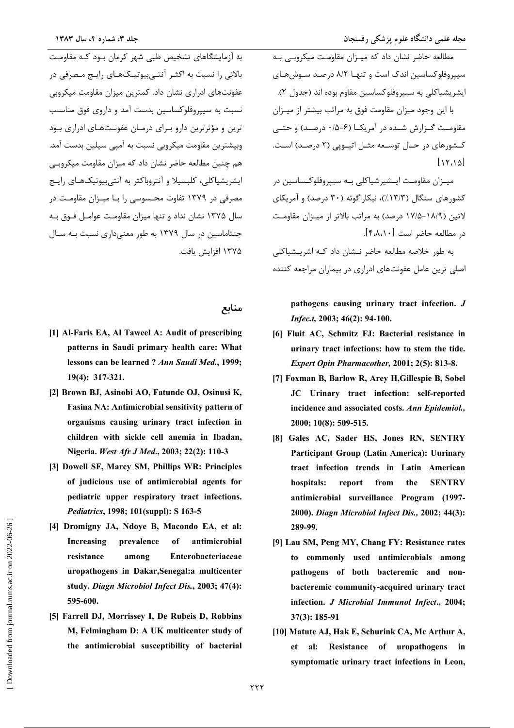.<br>مطالعه حاضر نشان داد که میـزان مقاومـت میکروبـی بـه سيپروفلوكساسين اندك است و تنهـا ٨/٢ درصـد سـوش هـاي ايشريشياكلي به سببروفلوكساسين مقاوم بوده اند (حدول ٢). با این وجود میزان مقاومت فوق به مراتب بیشتر از میـزان مقاومت گـزارش شـده در آمریکــا (۶-۰/۵ درصـد) و حتــی کـشورهای در حـال توسـعه مثـل اتيــوپي (۲ درصـد) اسـت.  $[1500]$ 

میــزان مقاومــت ایــشیرشیاکلی بــه سیپروفلوکــساسین در کشورهای سنگال (۱۳/۳٪)، نیکاراگوئه (۳۰ درصد) و آمریکای لاتين (١٨/٩–١٧/٥ درصد) به مراتب بالاتر از ميزان مقاومت در مطالعه حاضر است [۴٬۸٬۱۰].

به طور خلاصه مطالعه حاضر نــشان داد کــه اشریــشیاکلی اصلی ترین عامل عفونتهای ادراری در بیماران مراجعه کننده

pathogens causing urinary tract infection. J Infec.t. 2003; 46(2): 94-100.

- [6] Fluit AC, Schmitz FJ: Bacterial resistance in urinary tract infections: how to stem the tide. Expert Opin Pharmacother, 2001; 2(5): 813-8.
- [7] Foxman B, Barlow R, Arey H, Gillespie B, Sobel JC Urinary tract infection: self-reported incidence and associated costs. Ann Epidemiol., 2000; 10(8): 509-515.
- [8] Gales AC, Sader HS, Jones RN, SENTRY Participant Group (Latin America): Uurinary tract infection trends in Latin American hospitals: report from the **SENTRY** antimicrobial surveillance Program (1997-2000). Diagn Microbiol Infect Dis., 2002; 44(3): 289-99.
- [9] Lau SM, Peng MY, Chang FY: Resistance rates to commonly used antimicrobials among pathogens of both bacteremic and nonbacteremic community-acquired urinary tract infection. J Microbial Immunol Infect., 2004;  $37(3): 185-91$
- [10] Matute AJ, Hak E, Schurink CA, Mc Arthur A, Resistance of uropathogens in al: et symptomatic urinary tract infections in Leon,

.<br>به آزمایشگاهای تشخیص طب*ی* شهر کرمان بـود کـه مقاومـت بالائی را نسبت به اکثـر آنتـی،بیوتیـکهـای رایـج مـصرفی در عفونتهای ادراری نشان داد. کمترین میزان مقاومت میکروبی نسبت به سیپروفلوکساسین بدست آمد و داروی فوق مناسب ترین و مؤثرترین دارو بـرای درمـان عفونـتهـای ادراری بـود وبیشترین مقاومت میکروبی نسبت به آمیے سیلین بدست آمد. هم چنین مطالعه حاضر نشان داد که میزان مقاومت میکروبے ایشریشیاکلی، کلبسیلا و آنتروباکتر به آنتیبیوتیکهـای رایـج مصرفی در ۱۳۷۹ تفاوت محسوسی را بـا میـزان مقاومـت در سال ۱۳۷۵ نشان نداد و تنها میزان مقاومت عوامـل فـوق بـه جنتاماسین در سال ۱۳۷۹ به طور معنیداری نسبت به سال ١٣٧۵ افزايش يافت.

منابع

- [1] Al-Faris EA, Al Taweel A: Audit of prescribing patterns in Saudi primary health care: What lessons can be learned ? Ann Saudi Med., 1999; 19(4): 317-321.
- [2] Brown BJ, Asinobi AO, Fatunde OJ, Osinusi K, Fasina NA: Antimicrobial sensitivity pattern of organisms causing urinary tract infection in children with sickle cell anemia in Ibadan, Nigeria. West Afr J Med., 2003; 22(2): 110-3
- [3] Dowell SF, Marcy SM, Phillips WR: Principles of judicious use of antimicrobial agents for pediatric upper respiratory tract infections. *Pediatrics*, 1998; 101(suppl): S 163-5
- [4] Dromigny JA, Ndove B, Macondo EA, et al: Increasing prevalence of antimicrobial resistance among Enterobacteriaceae uropathogens in Dakar, Senegal: a multicenter study. Diagn Microbiol Infect Dis., 2003; 47(4): 595-600.
- [5] Farrell DJ, Morrissey I, De Rubeis D, Robbins M, Felmingham D: A UK multicenter study of the antimicrobial susceptibility of bacterial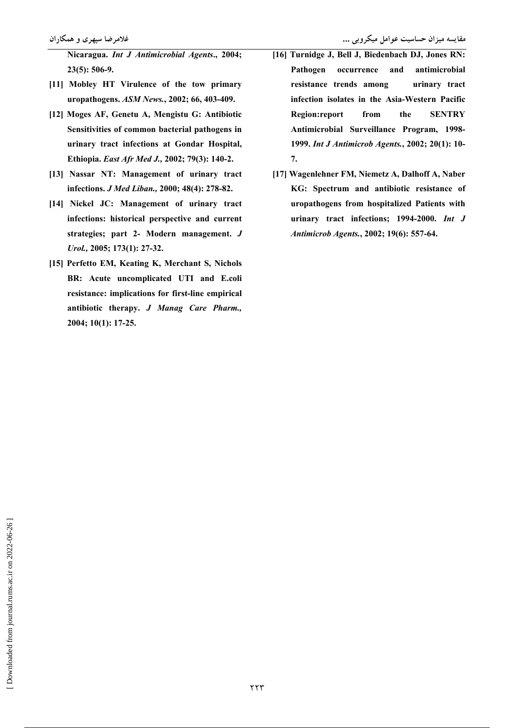- [11] Mobley HT Virulence of the tow primary uropathogens. ASM News., 2002; 66, 403-409.
- [12] Moges AF, Genetu A, Mengistu G: Antibiotic Sensitivities of common bacterial pathogens in urinary tract infections at Gondar Hospital, Ethiopia. East Afr Med J., 2002; 79(3): 140-2.
- [13] Nassar NT: Management of urinary tract infections. J Med Liban., 2000; 48(4): 278-82.
- [14] Nickel JC: Management of urinary tract infections: historical perspective and current strategies; part 2- Modern management. J Urol., 2005; 173(1): 27-32.
- [15] Perfetto EM, Keating K, Merchant S, Nichols BR: Acute uncomplicated UTI and E.coli resistance: implications for first-line empirical antibiotic therapy. J Manag Care Pharm., 2004; 10(1): 17-25.
- مقایسه میزان حساسیت عوامل میکروبی ...
- [16] Turnidge J, Bell J, Biedenbach DJ, Jones RN: Pathogen occurrence and antimicrobial resistance trends among urinary tract infection isolates in the Asia-Western Pacific **Region:report** from the **SENTRY** Antimicrobial Surveillance Program, 1998-1999. Int J Antimicrob Agents., 2002; 20(1): 10-7.
- [17] Wagenlehner FM, Niemetz A, Dalhoff A, Naber KG: Spectrum and antibiotic resistance of uropathogens from hospitalized Patients with urinary tract infections; 1994-2000. Int J Antimicrob Agents., 2002; 19(6): 557-64.